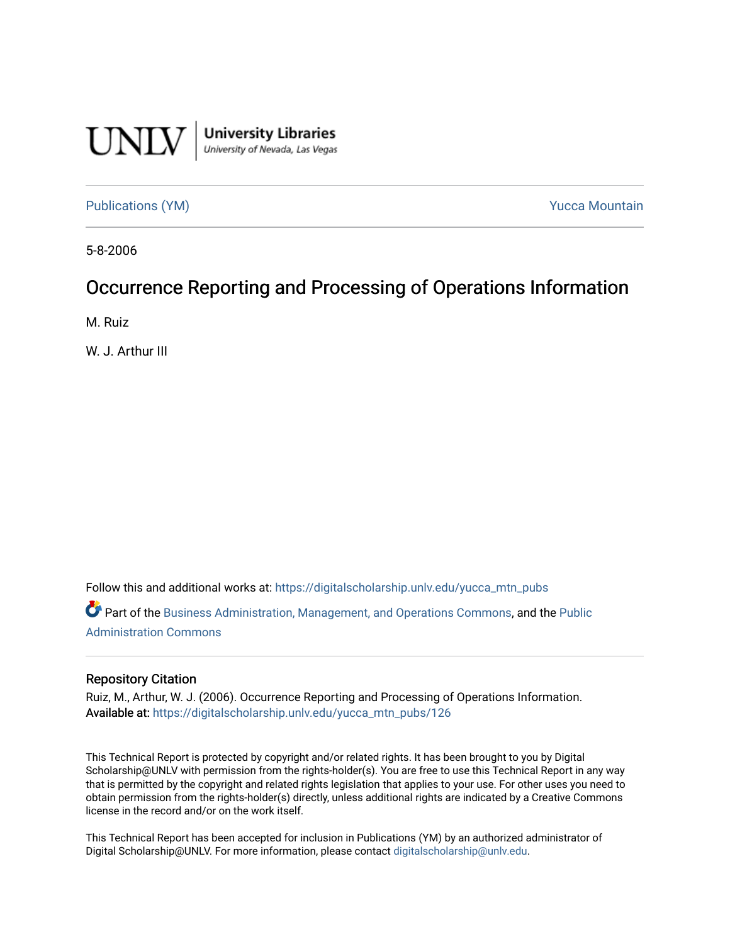

University Libraries<br>University of Nevada, Las Vegas

[Publications \(YM\)](https://digitalscholarship.unlv.edu/yucca_mtn_pubs) **Publications** (YM) **Publications** (YM)

5-8-2006

## Occurrence Reporting and Processing of Operations Information

M. Ruiz

W. J. Arthur III

Follow this and additional works at: [https://digitalscholarship.unlv.edu/yucca\\_mtn\\_pubs](https://digitalscholarship.unlv.edu/yucca_mtn_pubs?utm_source=digitalscholarship.unlv.edu%2Fyucca_mtn_pubs%2F126&utm_medium=PDF&utm_campaign=PDFCoverPages)

Part of the [Business Administration, Management, and Operations Commons](http://network.bepress.com/hgg/discipline/623?utm_source=digitalscholarship.unlv.edu%2Fyucca_mtn_pubs%2F126&utm_medium=PDF&utm_campaign=PDFCoverPages), and the [Public](http://network.bepress.com/hgg/discipline/398?utm_source=digitalscholarship.unlv.edu%2Fyucca_mtn_pubs%2F126&utm_medium=PDF&utm_campaign=PDFCoverPages)  [Administration Commons](http://network.bepress.com/hgg/discipline/398?utm_source=digitalscholarship.unlv.edu%2Fyucca_mtn_pubs%2F126&utm_medium=PDF&utm_campaign=PDFCoverPages) 

#### Repository Citation

Ruiz, M., Arthur, W. J. (2006). Occurrence Reporting and Processing of Operations Information. Available at: [https://digitalscholarship.unlv.edu/yucca\\_mtn\\_pubs/126](https://digitalscholarship.unlv.edu/yucca_mtn_pubs/126) 

This Technical Report is protected by copyright and/or related rights. It has been brought to you by Digital Scholarship@UNLV with permission from the rights-holder(s). You are free to use this Technical Report in any way that is permitted by the copyright and related rights legislation that applies to your use. For other uses you need to obtain permission from the rights-holder(s) directly, unless additional rights are indicated by a Creative Commons license in the record and/or on the work itself.

This Technical Report has been accepted for inclusion in Publications (YM) by an authorized administrator of Digital Scholarship@UNLV. For more information, please contact [digitalscholarship@unlv.edu](mailto:digitalscholarship@unlv.edu).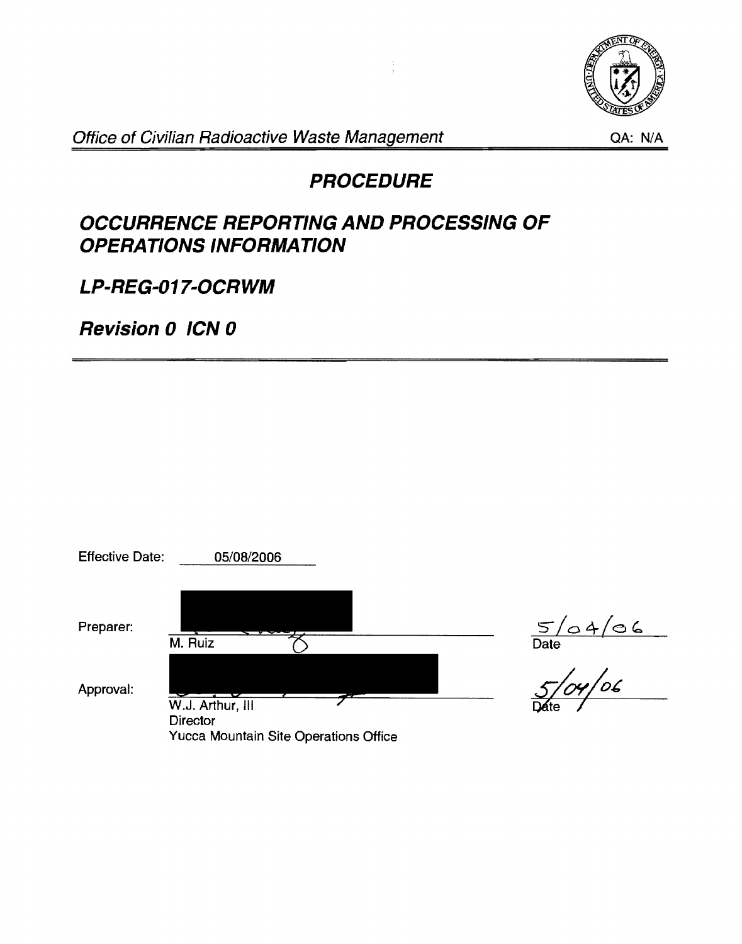

Office of Civilian Radioactive Waste Management

QA: N/A

# **PROCEDURE**

# **OCCURRENCE REPORTING AND PROCESSING OF OPERATIONS INFORMATION**

**LP-REG-017-0CRWM** 

**Revision 0 ICN 0** 

| <b>Effective Date:</b> | 05/08/2006                                                                   |                   |
|------------------------|------------------------------------------------------------------------------|-------------------|
| Preparer:              | M. Ruiz                                                                      | 5/04/06<br>Date   |
| Approval:              | W.J. Arthur, III<br><b>Director</b><br>Yucca Mountain Site Operations Office | oc<br><b>Dáte</b> |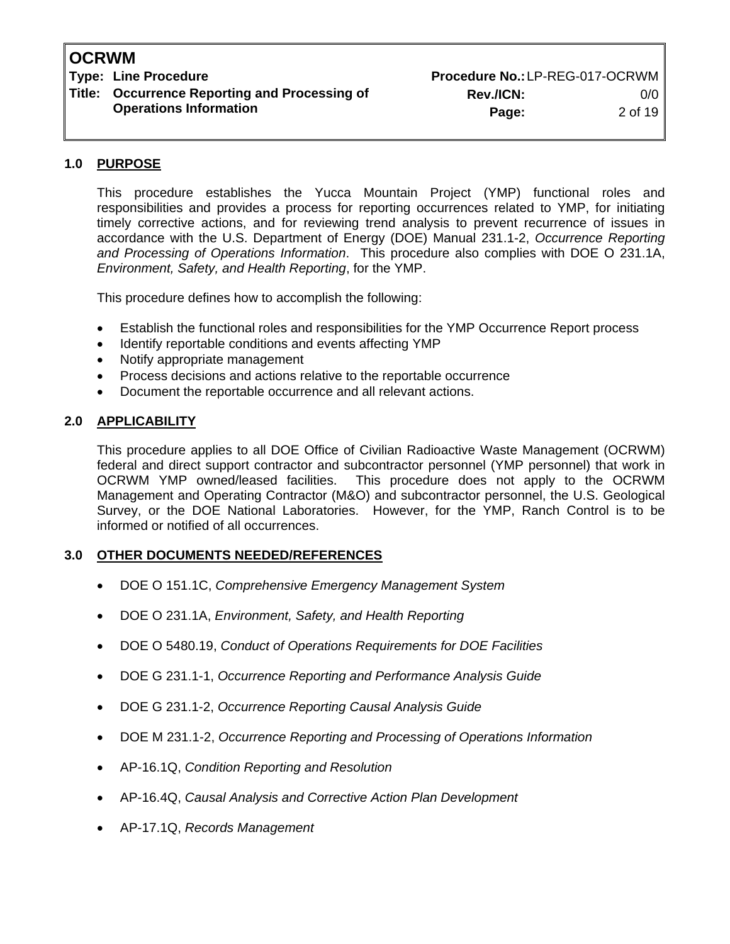# **Title: Occurrence Reporting and Processing of Rev./ICN:** 0/0

**Type: Line Procedure No.: LP-REG-017-OCRWM Operations Information Page:** 2 of 19

#### **1.0 PURPOSE**

This procedure establishes the Yucca Mountain Project (YMP) functional roles and responsibilities and provides a process for reporting occurrences related to YMP, for initiating timely corrective actions, and for reviewing trend analysis to prevent recurrence of issues in accordance with the U.S. Department of Energy (DOE) Manual 231.1-2, *Occurrence Reporting and Processing of Operations Information*. This procedure also complies with DOE O 231.1A, *Environment, Safety, and Health Reporting*, for the YMP.

This procedure defines how to accomplish the following:

- Establish the functional roles and responsibilities for the YMP Occurrence Report process
- Identify reportable conditions and events affecting YMP
- Notify appropriate management
- Process decisions and actions relative to the reportable occurrence
- Document the reportable occurrence and all relevant actions.

#### **2.0 APPLICABILITY**

This procedure applies to all DOE Office of Civilian Radioactive Waste Management (OCRWM) federal and direct support contractor and subcontractor personnel (YMP personnel) that work in OCRWM YMP owned/leased facilities. This procedure does not apply to the OCRWM Management and Operating Contractor (M&O) and subcontractor personnel, the U.S. Geological Survey, or the DOE National Laboratories. However, for the YMP, Ranch Control is to be informed or notified of all occurrences.

#### **3.0 OTHER DOCUMENTS NEEDED/REFERENCES**

- DOE O 151.1C, *Comprehensive Emergency Management System*
- DOE O 231.1A, *Environment, Safety, and Health Reporting*
- DOE O 5480.19, *Conduct of Operations Requirements for DOE Facilities*
- DOE G 231.1-1, *Occurrence Reporting and Performance Analysis Guide*
- DOE G 231.1-2, *Occurrence Reporting Causal Analysis Guide*
- DOE M 231.1-2, *Occurrence Reporting and Processing of Operations Information*
- AP-16.1Q, *Condition Reporting and Resolution*
- AP-16.4Q, *Causal Analysis and Corrective Action Plan Development*
- AP-17.1Q, *Records Management*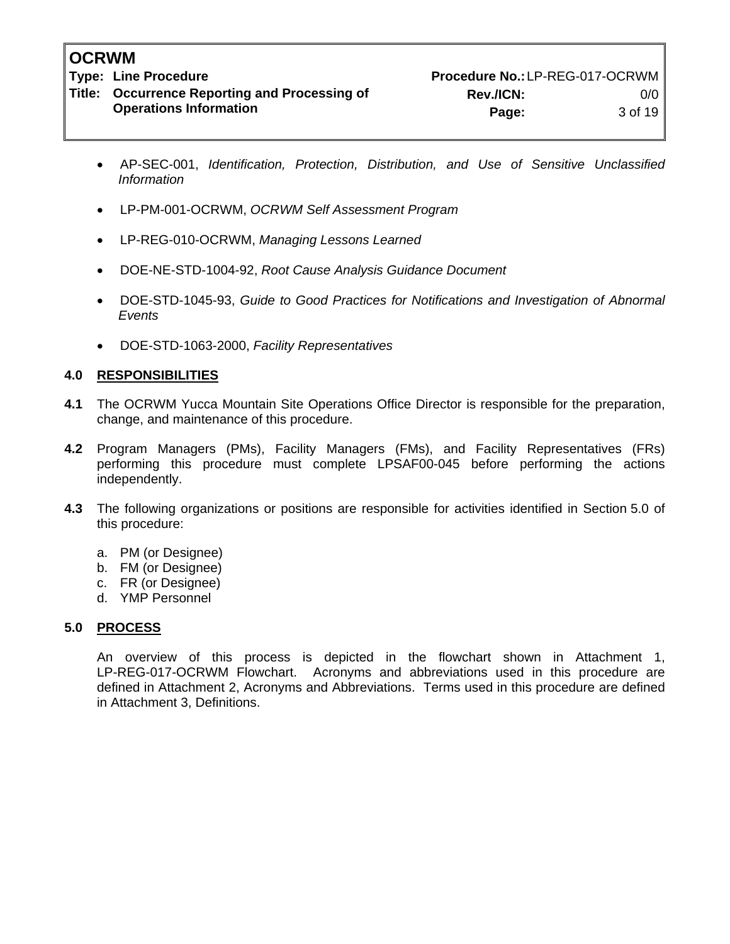**Title: Occurrence Reporting and Processing of Rev./ICN:** 0/0

- AP-SEC-001, *Identification, Protection, Distribution, and Use of Sensitive Unclassified Information*
- LP-PM-001-OCRWM, *OCRWM Self Assessment Program*
- LP-REG-010-OCRWM, *Managing Lessons Learned*
- DOE-NE-STD-1004-92, *Root Cause Analysis Guidance Document*
- DOE-STD-1045-93, *Guide to Good Practices for Notifications and Investigation of Abnormal Events*
- DOE-STD-1063-2000, *Facility Representatives*

#### **4.0 RESPONSIBILITIES**

- **4.1** The OCRWM Yucca Mountain Site Operations Office Director is responsible for the preparation, change, and maintenance of this procedure.
- **4.2** Program Managers (PMs), Facility Managers (FMs), and Facility Representatives (FRs) performing this procedure must complete LPSAF00-045 before performing the actions independently.
- **4.3** The following organizations or positions are responsible for activities identified in Section 5.0 of this procedure:
	- a. PM (or Designee)
	- b. FM (or Designee)
	- c. FR (or Designee)
	- d. YMP Personnel

#### **5.0 PROCESS**

An overview of this process is depicted in the flowchart shown in Attachment 1, LP-REG-017-OCRWM Flowchart. Acronyms and abbreviations used in this procedure are defined in Attachment 2, Acronyms and Abbreviations. Terms used in this procedure are defined in Attachment 3, Definitions.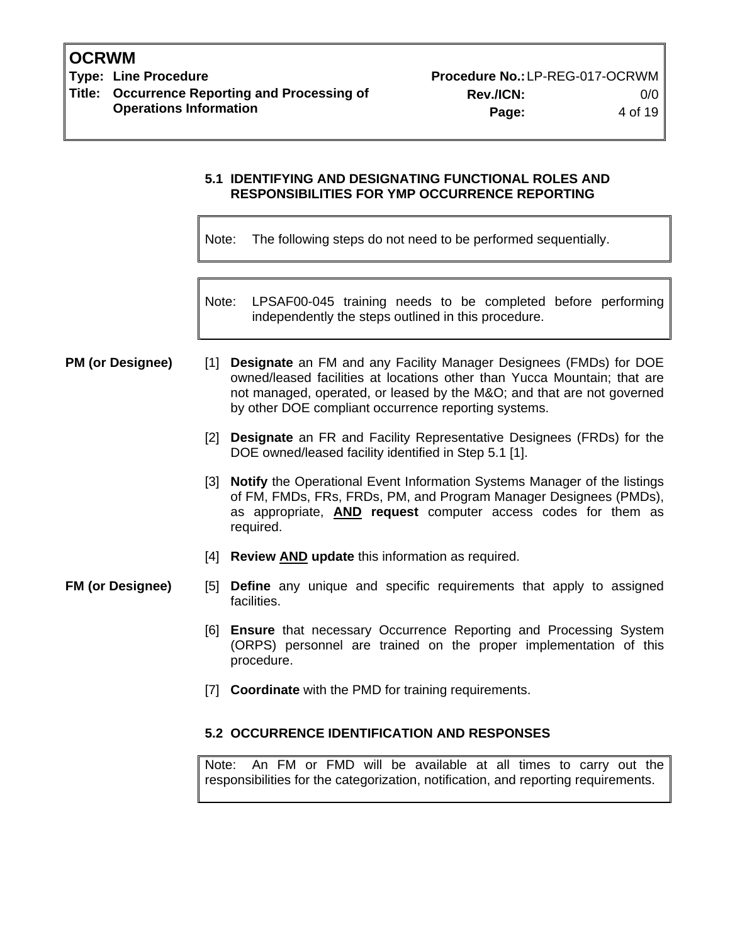**Type: Line Procedure Procedure No.:**LP-REG-017-OCRWM **Title: Occurrence Reporting and Processing of Rev./ICN:** 0/0

**Operations Information Page:** 4 of 19

#### **5.1 IDENTIFYING AND DESIGNATING FUNCTIONAL ROLES AND RESPONSIBILITIES FOR YMP OCCURRENCE REPORTING**

Note: The following steps do not need to be performed sequentially.

Note: LPSAF00-045 training needs to be completed before performing independently the steps outlined in this procedure.

**PM (or Designee)** [1] **Designate** an FM and any Facility Manager Designees (FMDs) for DOE owned/leased facilities at locations other than Yucca Mountain; that are not managed, operated, or leased by the M&O; and that are not governed by other DOE compliant occurrence reporting systems.

- [2] **Designate** an FR and Facility Representative Designees (FRDs) for the DOE owned/leased facility identified in Step 5.1 [1].
- [3] **Notify** the Operational Event Information Systems Manager of the listings of FM, FMDs, FRs, FRDs, PM, and Program Manager Designees (PMDs), as appropriate, **AND request** computer access codes for them as required.
- [4] **Review AND update** this information as required.

#### **FM (or Designee)** [5] **Define** any unique and specific requirements that apply to assigned facilities.

- [6] **Ensure** that necessary Occurrence Reporting and Processing System (ORPS) personnel are trained on the proper implementation of this procedure.
- [7] **Coordinate** with the PMD for training requirements.

#### **5.2 OCCURRENCE IDENTIFICATION AND RESPONSES**

Note: An FM or FMD will be available at all times to carry out the responsibilities for the categorization, notification, and reporting requirements.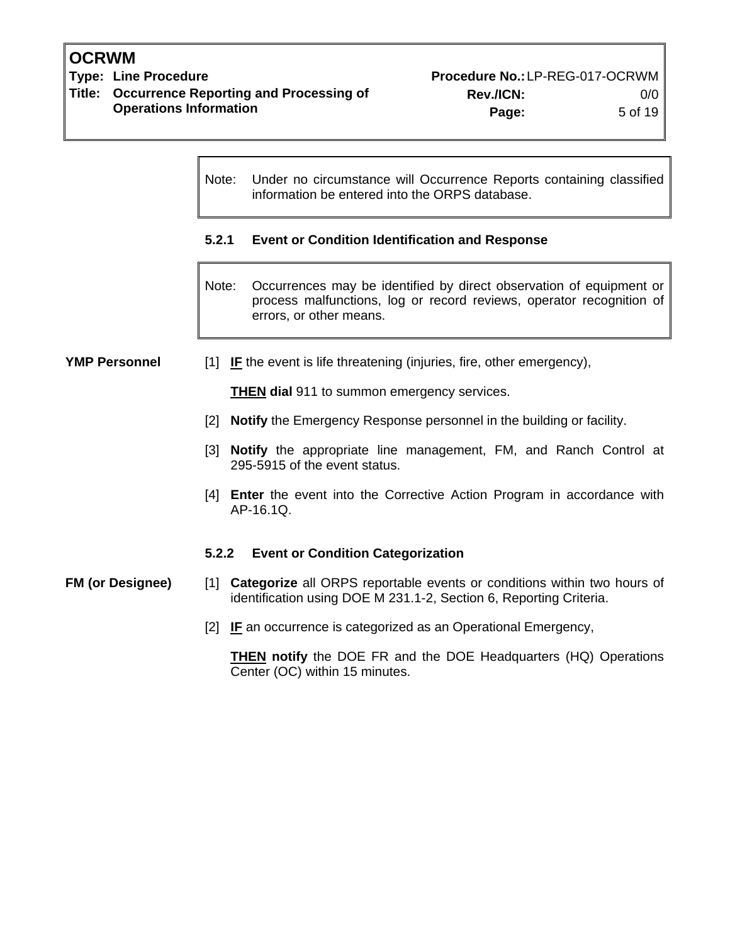**OCRWM**<br>Type: Line Procedure **Title: Occurrence Reporting and Processing of Rev./ICN:** 0/0 **Operations Information Page:** 5 of 19

|                         | Note:                             | Under no circumstance will Occurrence Reports containing classified<br>information be entered into the ORPS database.                                                  |  |  |
|-------------------------|-----------------------------------|------------------------------------------------------------------------------------------------------------------------------------------------------------------------|--|--|
|                         | 5.2.1                             | <b>Event or Condition Identification and Response</b>                                                                                                                  |  |  |
|                         | Note:                             | Occurrences may be identified by direct observation of equipment or<br>process malfunctions, log or record reviews, operator recognition of<br>errors, or other means. |  |  |
| <b>YMP Personnel</b>    |                                   | [1] IF the event is life threatening (injuries, fire, other emergency),                                                                                                |  |  |
|                         |                                   | <b>THEN dial</b> 911 to summon emergency services.                                                                                                                     |  |  |
|                         | $[2]$                             | <b>Notify</b> the Emergency Response personnel in the building or facility.                                                                                            |  |  |
|                         |                                   | [3] Notify the appropriate line management, FM, and Ranch Control at<br>295-5915 of the event status.                                                                  |  |  |
|                         |                                   | [4] <b>Enter</b> the event into the Corrective Action Program in accordance with<br>AP-16.1Q.                                                                          |  |  |
|                         | 5.2.2                             | <b>Event or Condition Categorization</b>                                                                                                                               |  |  |
| <b>FM (or Designee)</b> | $\begin{bmatrix} 1 \end{bmatrix}$ | <b>Categorize</b> all ORPS reportable events or conditions within two hours of<br>identification using DOE M 231.1-2, Section 6, Reporting Criteria.                   |  |  |
|                         | <u> 2 </u>                        | <b>IF</b> an occurrence is categorized as an Operational Emergency,                                                                                                    |  |  |
|                         |                                   | THEN $n \cdot$ the DOE ED and the DOE Headquarters (HO) Operations                                                                                                     |  |  |

**THEN notify** the DOE FR and the DOE Headquarters (HQ) Operations Center (OC) within 15 minutes.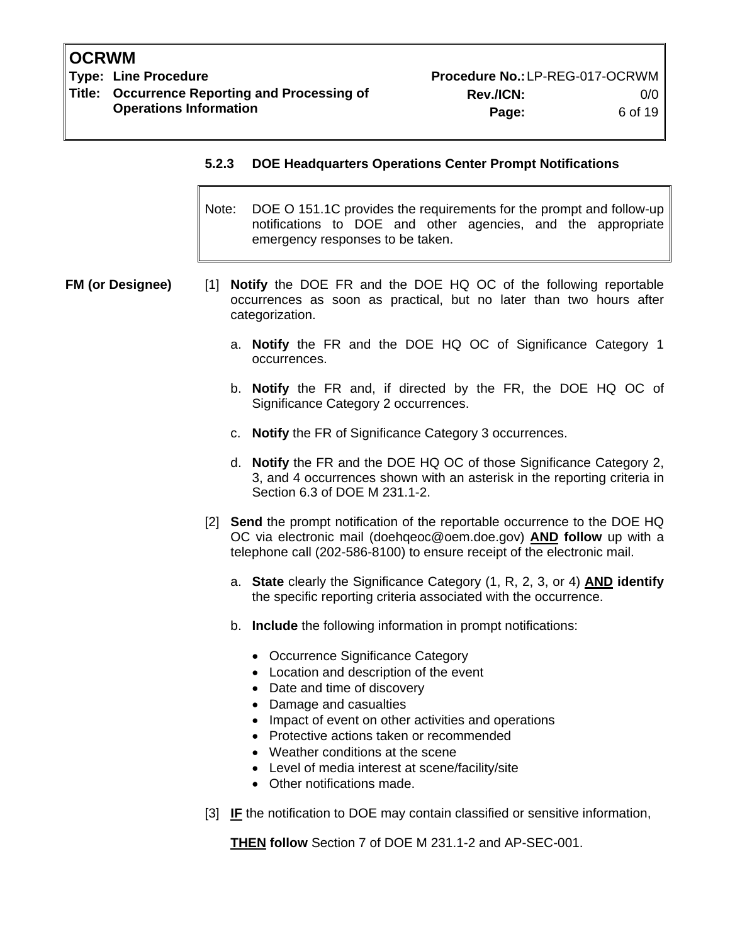**Type: Line Procedure Procedure No.:**LP-REG-017-OCRWM **Title: Occurrence Reporting and Processing of Rev./ICN:** 0/0

#### **5.2.3 DOE Headquarters Operations Center Prompt Notifications**

- Note: DOE O 151.1C provides the requirements for the prompt and follow-up notifications to DOE and other agencies, and the appropriate emergency responses to be taken.
- **FM (or Designee)** [1] **Notify** the DOE FR and the DOE HQ OC of the following reportable occurrences as soon as practical, but no later than two hours after categorization.
	- a. **Notify** the FR and the DOE HQ OC of Significance Category 1 occurrences.
	- b. **Notify** the FR and, if directed by the FR, the DOE HQ OC of Significance Category 2 occurrences.
	- c. **Notify** the FR of Significance Category 3 occurrences.
	- d. **Notify** the FR and the DOE HQ OC of those Significance Category 2, 3, and 4 occurrences shown with an asterisk in the reporting criteria in Section 6.3 of DOE M 231.1-2.
	- [2] **Send** the prompt notification of the reportable occurrence to the DOE HQ OC via electronic mail (doehqeoc@oem.doe.gov) **AND follow** up with a telephone call (202-586-8100) to ensure receipt of the electronic mail.
		- a. **State** clearly the Significance Category (1, R, 2, 3, or 4) **AND identify** the specific reporting criteria associated with the occurrence.
		- b. **Include** the following information in prompt notifications:
			- Occurrence Significance Category
			- Location and description of the event
			- Date and time of discovery
			- Damage and casualties
			- Impact of event on other activities and operations
			- Protective actions taken or recommended
			- Weather conditions at the scene
			- Level of media interest at scene/facility/site
			- Other notifications made.
	- [3] **IF** the notification to DOE may contain classified or sensitive information,

**THEN follow** Section 7 of DOE M 231.1-2 and AP-SEC-001.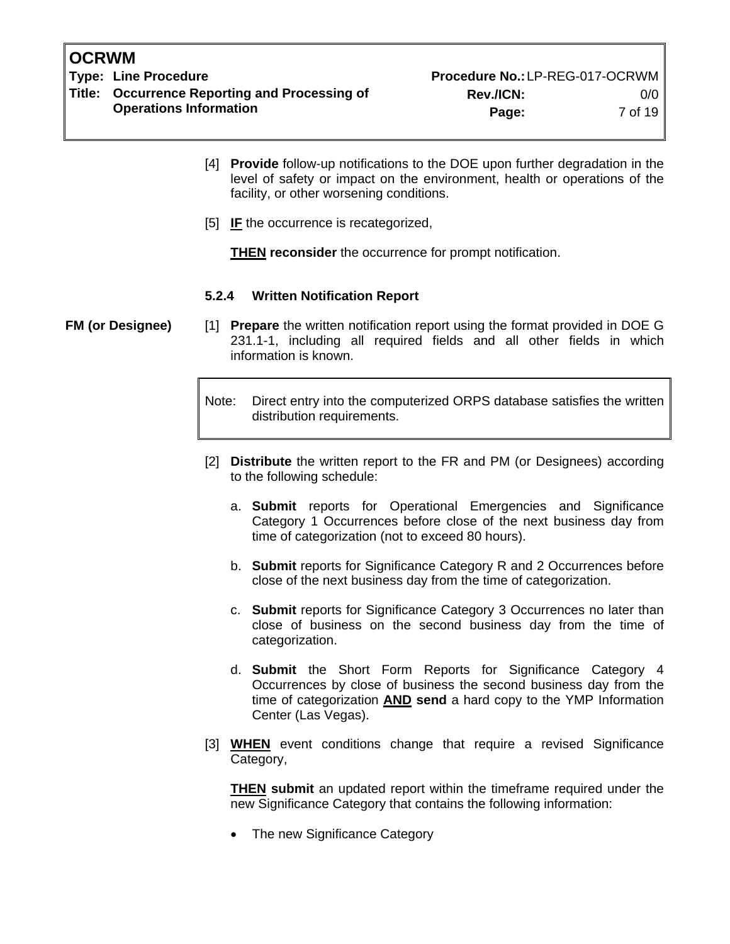**Title: Occurrence Reporting and Processing of Rev./ICN:** 0/0

- [4] **Provide** follow-up notifications to the DOE upon further degradation in the level of safety or impact on the environment, health or operations of the facility, or other worsening conditions.
- [5] **IF** the occurrence is recategorized,

**THEN reconsider** the occurrence for prompt notification.

#### **5.2.4 Written Notification Report**

**FM (or Designee)** [1] **Prepare** the written notification report using the format provided in DOE G 231.1-1, including all required fields and all other fields in which information is known.

> Note: Direct entry into the computerized ORPS database satisfies the written distribution requirements.

- [2] **Distribute** the written report to the FR and PM (or Designees) according to the following schedule:
	- a. **Submit** reports for Operational Emergencies and Significance Category 1 Occurrences before close of the next business day from time of categorization (not to exceed 80 hours).
	- b. **Submit** reports for Significance Category R and 2 Occurrences before close of the next business day from the time of categorization.
	- c. **Submit** reports for Significance Category 3 Occurrences no later than close of business on the second business day from the time of categorization.
	- d. **Submit** the Short Form Reports for Significance Category 4 Occurrences by close of business the second business day from the time of categorization **AND send** a hard copy to the YMP Information Center (Las Vegas).
- [3] **WHEN** event conditions change that require a revised Significance Category,

**THEN submit** an updated report within the timeframe required under the new Significance Category that contains the following information:

• The new Significance Category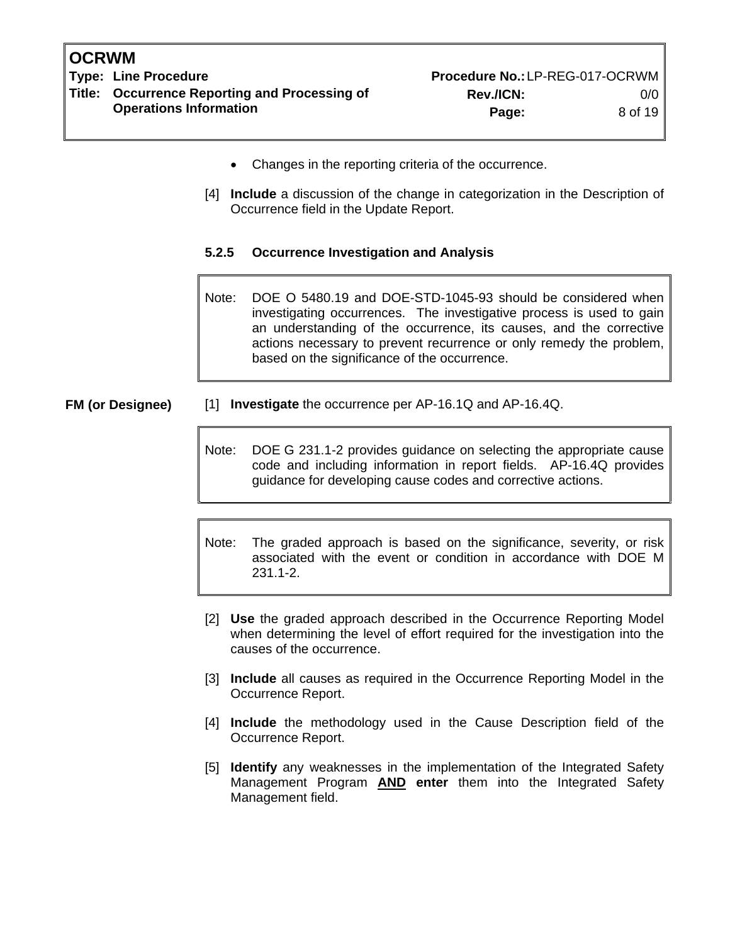**Type: Line Procedure Procedure No.:**LP-REG-017-OCRWM **Title: Occurrence Reporting and Processing of Rev./ICN:** 0/0 **Operations Information Page:** 8 of 19

- Changes in the reporting criteria of the occurrence.
- [4] **Include** a discussion of the change in categorization in the Description of Occurrence field in the Update Report.
- **5.2.5 Occurrence Investigation and Analysis**

Note: DOE O 5480.19 and DOE-STD-1045-93 should be considered when investigating occurrences. The investigative process is used to gain an understanding of the occurrence, its causes, and the corrective actions necessary to prevent recurrence or only remedy the problem, based on the significance of the occurrence.

**FM (or Designee)** [1] **Investigate** the occurrence per AP-16.1Q and AP-16.4Q.

Note: DOE G 231.1-2 provides guidance on selecting the appropriate cause code and including information in report fields. AP-16.4Q provides guidance for developing cause codes and corrective actions.

Note: The graded approach is based on the significance, severity, or risk associated with the event or condition in accordance with DOE M 231.1-2.

- [2] **Use** the graded approach described in the Occurrence Reporting Model when determining the level of effort required for the investigation into the causes of the occurrence.
- [3] **Include** all causes as required in the Occurrence Reporting Model in the Occurrence Report.
- [4] **Include** the methodology used in the Cause Description field of the Occurrence Report.
- [5] **Identify** any weaknesses in the implementation of the Integrated Safety Management Program **AND enter** them into the Integrated Safety Management field.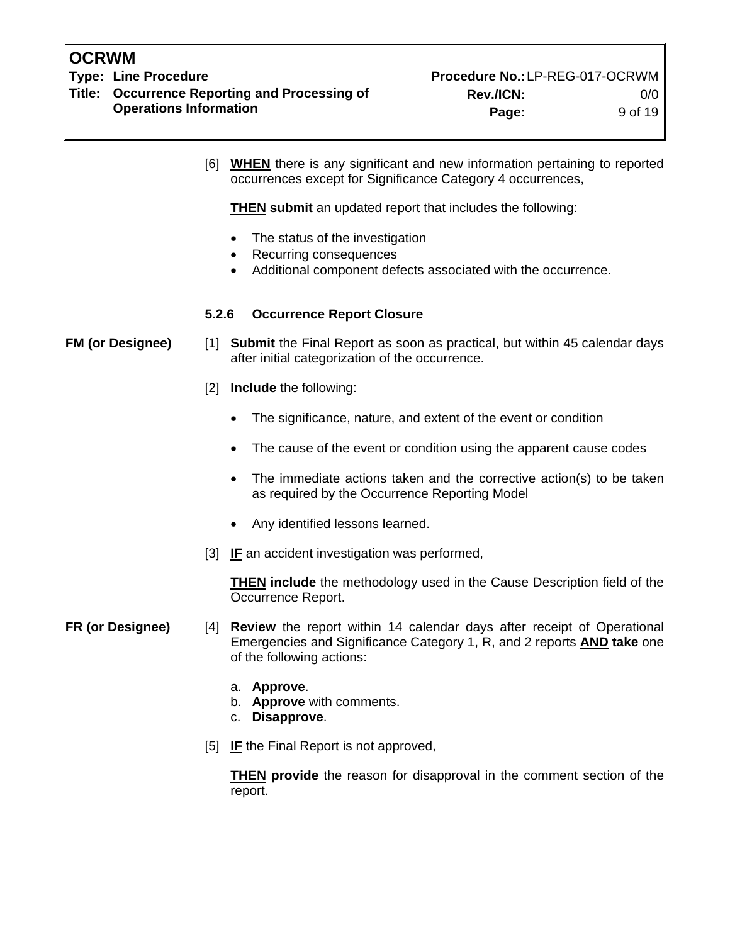**Type: Line Procedure Acceptance Accepts Accept Procedure No.: LP-REG-017-OCRWM Title: Occurrence Reporting and Processing of Rev./ICN:** 0/0

- [6] **WHEN** there is any significant and new information pertaining to reported occurrences except for Significance Category 4 occurrences, **THEN submit** an updated report that includes the following: • The status of the investigation • Recurring consequences • Additional component defects associated with the occurrence. **5.2.6 Occurrence Report Closure FM (or Designee)** [1] **Submit** the Final Report as soon as practical, but within 45 calendar days after initial categorization of the occurrence. [2] **Include** the following: • The significance, nature, and extent of the event or condition • The cause of the event or condition using the apparent cause codes • The immediate actions taken and the corrective action(s) to be taken as required by the Occurrence Reporting Model • Any identified lessons learned. [3] **IF** an accident investigation was performed, **THEN include** the methodology used in the Cause Description field of the Occurrence Report. **FR (or Designee)** [4] **Review** the report within 14 calendar days after receipt of Operational Emergencies and Significance Category 1, R, and 2 reports **AND take** one of the following actions:
	- a. **Approve**.
	- b. **Approve** with comments.
	- c. **Disapprove**.
	- [5] **IF** the Final Report is not approved,

**THEN provide** the reason for disapproval in the comment section of the report.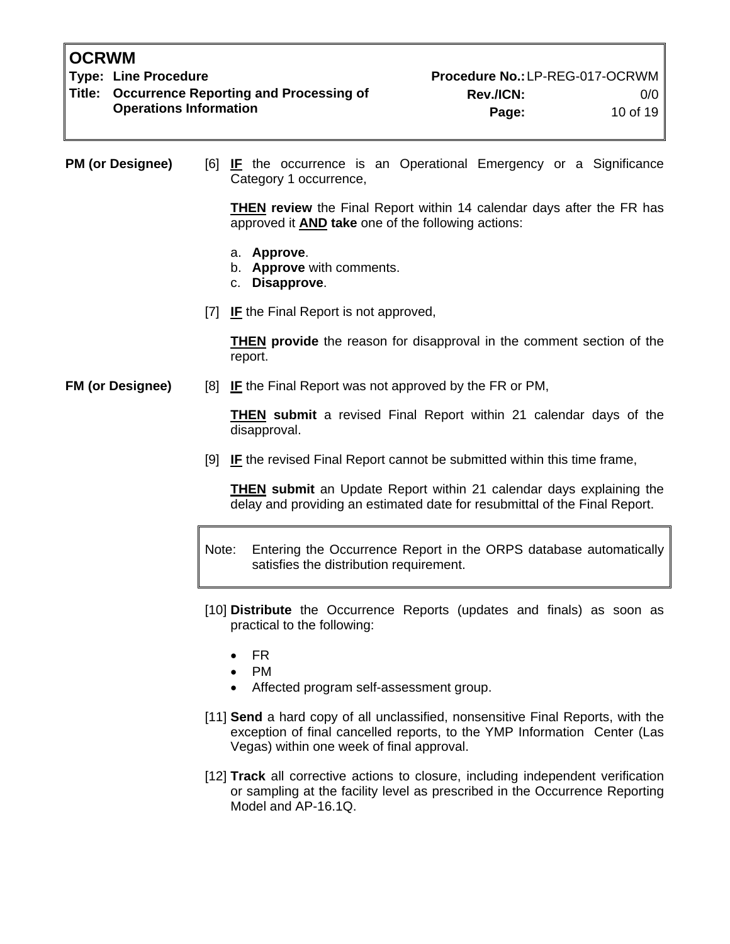**Type: Line Procedure Procedure No.:**LP-REG-017-OCRWM **Title: Occurrence Reporting and Processing of Rev./ICN:** 0/0 **Operations Information Page:** 10 of 19

**PM (or Designee)** [6] **IF** the occurrence is an Operational Emergency or a Significance Category 1 occurrence,

> **THEN review** the Final Report within 14 calendar days after the FR has approved it **AND take** one of the following actions:

- a. **Approve**.
- b. **Approve** with comments.
- c. **Disapprove**.
- [7] **IF** the Final Report is not approved,

**THEN provide** the reason for disapproval in the comment section of the report.

**FM (or Designee)** [8] **IF** the Final Report was not approved by the FR or PM,

**THEN submit** a revised Final Report within 21 calendar days of the disapproval.

[9] **IF** the revised Final Report cannot be submitted within this time frame,

**THEN submit** an Update Report within 21 calendar days explaining the delay and providing an estimated date for resubmittal of the Final Report.

- Note: Entering the Occurrence Report in the ORPS database automatically satisfies the distribution requirement.
- [10] **Distribute** the Occurrence Reports (updates and finals) as soon as practical to the following:
	- FR
	- PM
	- Affected program self-assessment group.
- [11] **Send** a hard copy of all unclassified, nonsensitive Final Reports, with the exception of final cancelled reports, to the YMP Information Center (Las Vegas) within one week of final approval.
- [12] **Track** all corrective actions to closure, including independent verification or sampling at the facility level as prescribed in the Occurrence Reporting Model and AP-16.1Q.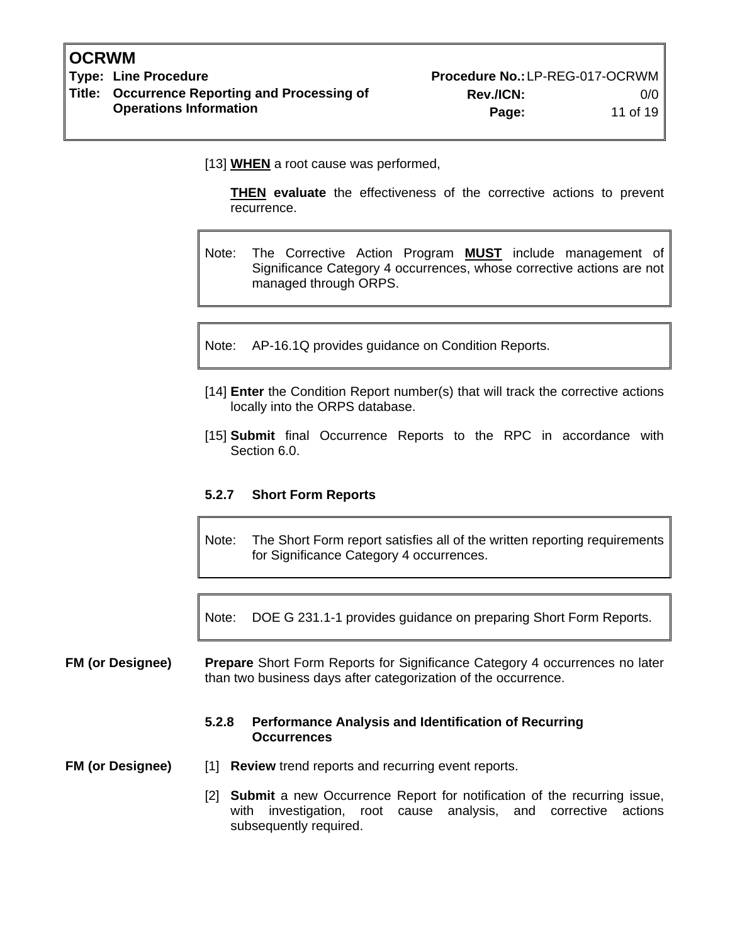**Type: Line Procedure Acceptance Accepts Accept Procedure No.: LP-REG-017-OCRWM Title: Occurrence Reporting and Processing of Rev./ICN:** 0/0

[13] **WHEN** a root cause was performed,

**THEN evaluate** the effectiveness of the corrective actions to prevent recurrence.

Note: The Corrective Action Program **MUST** include management of Significance Category 4 occurrences, whose corrective actions are not managed through ORPS.

Note: AP-16.1Q provides guidance on Condition Reports.

- [14] **Enter** the Condition Report number(s) that will track the corrective actions locally into the ORPS database.
- [15] **Submit** final Occurrence Reports to the RPC in accordance with Section 6.0.

#### **5.2.7 Short Form Reports**

Note: The Short Form report satisfies all of the written reporting requirements for Significance Category 4 occurrences.

Note: DOE G 231.1-1 provides guidance on preparing Short Form Reports.

#### **FM (or Designee) Prepare** Short Form Reports for Significance Category 4 occurrences no later than two business days after categorization of the occurrence.

#### **5.2.8 Performance Analysis and Identification of Recurring Occurrences**

**FM (or Designee)** [1] **Review** trend reports and recurring event reports.

[2] **Submit** a new Occurrence Report for notification of the recurring issue, with investigation, root cause analysis, and corrective actions subsequently required.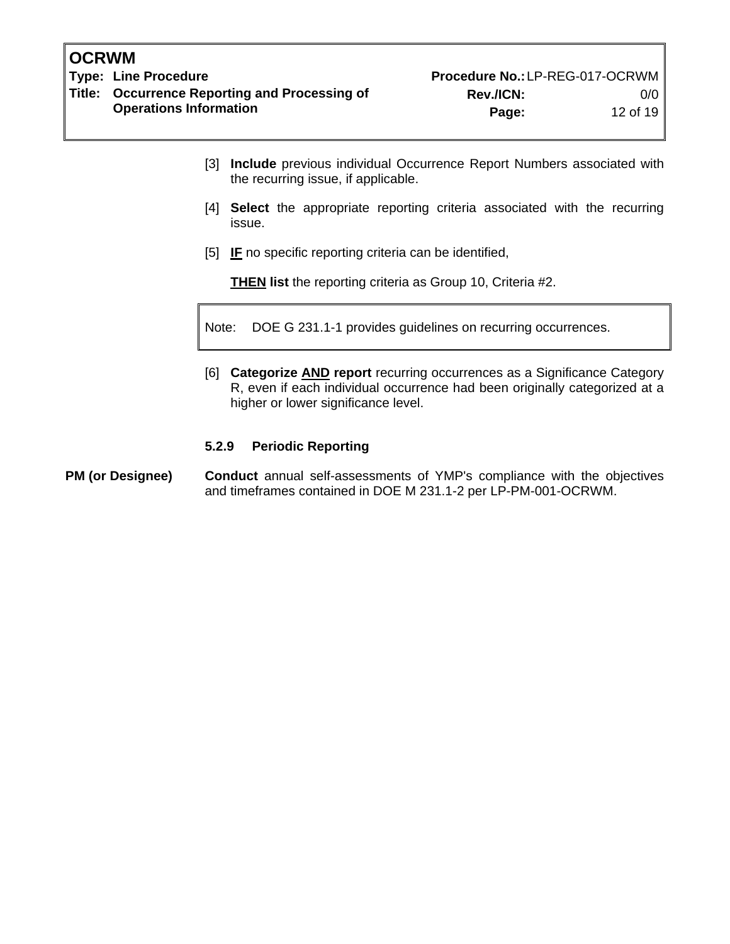**Operations Information Page:** 12 of 19

- [3] **Include** previous individual Occurrence Report Numbers associated with the recurring issue, if applicable.
- [4] **Select** the appropriate reporting criteria associated with the recurring issue.
- [5] **IF** no specific reporting criteria can be identified,

**THEN list** the reporting criteria as Group 10, Criteria #2.

Note: DOE G 231.1-1 provides guidelines on recurring occurrences.

[6] **Categorize AND report** recurring occurrences as a Significance Category R, even if each individual occurrence had been originally categorized at a higher or lower significance level.

#### **5.2.9 Periodic Reporting**

#### **PM (or Designee) Conduct** annual self-assessments of YMP's compliance with the objectives and timeframes contained in DOE M 231.1-2 per LP-PM-001-OCRWM.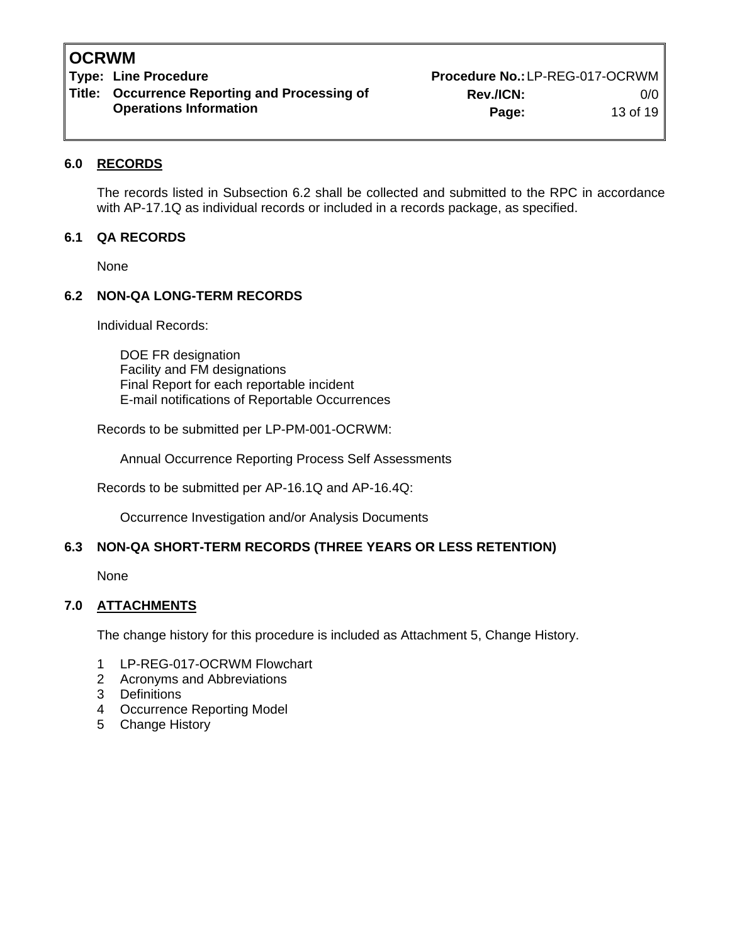# **Title: Occurrence Reporting and Processing of Rev./ICN:** 0/0

Type: Line Procedure **Procedure Access 2006** Procedure No.:LP-REG-017-OCRWM **Operations Information Page:** 13 of 19

#### **6.0 RECORDS**

The records listed in Subsection 6.2 shall be collected and submitted to the RPC in accordance with AP-17.1Q as individual records or included in a records package, as specified.

#### **6.1 QA RECORDS**

None

#### **6.2 NON-QA LONG-TERM RECORDS**

Individual Records:

DOE FR designation Facility and FM designations Final Report for each reportable incident E-mail notifications of Reportable Occurrences

Records to be submitted per LP-PM-001-OCRWM:

Annual Occurrence Reporting Process Self Assessments

Records to be submitted per AP-16.1Q and AP-16.4Q:

Occurrence Investigation and/or Analysis Documents

#### **6.3 NON-QA SHORT-TERM RECORDS (THREE YEARS OR LESS RETENTION)**

None

#### **7.0 ATTACHMENTS**

The change history for this procedure is included as Attachment 5, Change History.

- 1 LP-REG-017-OCRWM Flowchart
- 2 Acronyms and Abbreviations
- 3 Definitions
- 4 Occurrence Reporting Model
- 5 Change History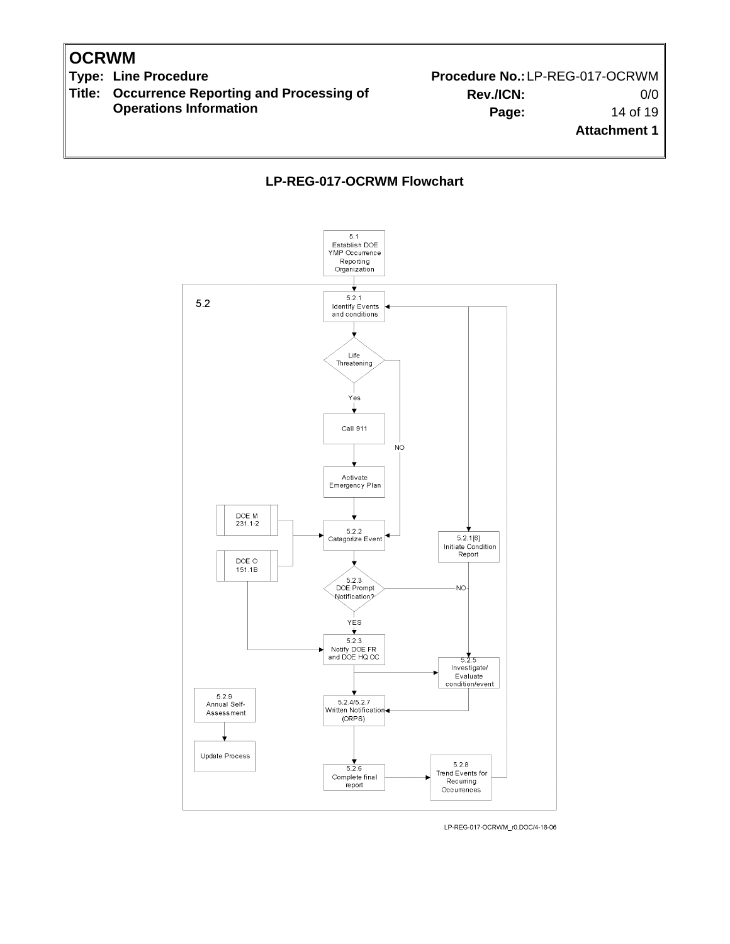**Title: Occurrence Reporting and Processing of Operations Information**

Type: Line Procedure **Procedure Procedure No.:**LP-REG-017-OCRWM **Rev./ICN:** 0/0 **Page:** 14 of 19 **Attachment 1**

**LP-REG-017-OCRWM Flowchart**



LP-REG-017-OCRWM\_r0.DOC/4-18-06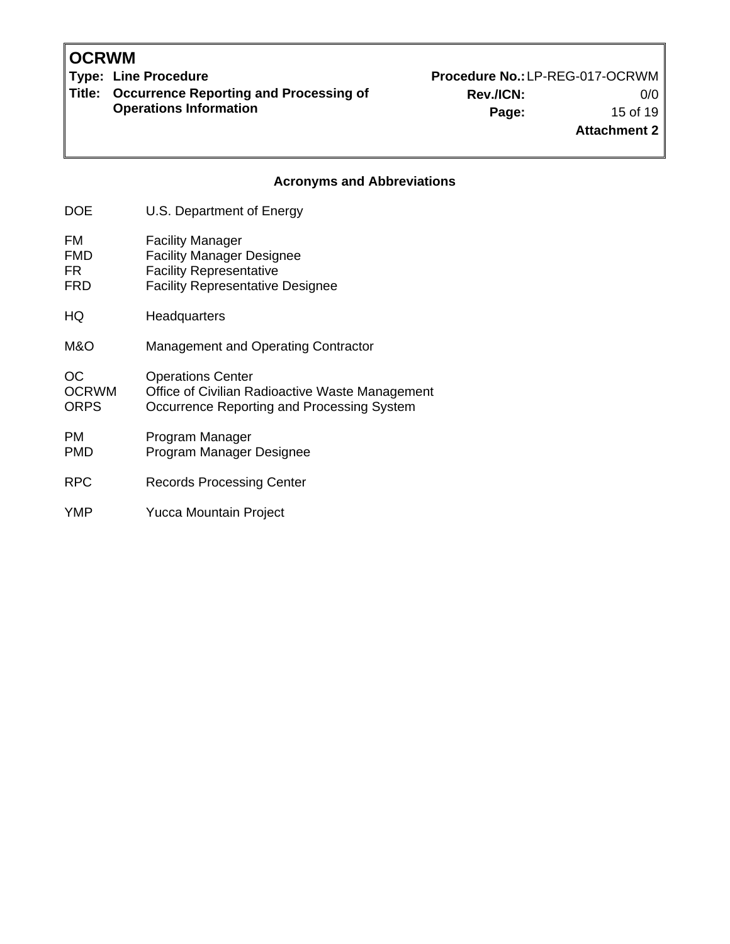**OCRWM**<br>Type: Line Procedure

**Title: Occurrence Reporting and Processing of Operations Information**

Procedure No.: LP-REG-017-OCRWM **Rev./ICN:** 0/0 **Page:** 15 of 19

### **Attachment 2**

#### **Acronyms and Abbreviations**

| DOE                                | U.S. Department of Energy                                                                                                                |
|------------------------------------|------------------------------------------------------------------------------------------------------------------------------------------|
| FM<br><b>FMD</b><br>FR.<br>FRD     | <b>Facility Manager</b><br><b>Facility Manager Designee</b><br><b>Facility Representative</b><br><b>Facility Representative Designee</b> |
| HQ                                 | Headquarters                                                                                                                             |
| M&O                                | <b>Management and Operating Contractor</b>                                                                                               |
| OC.<br><b>OCRWM</b><br><b>ORPS</b> | <b>Operations Center</b><br>Office of Civilian Radioactive Waste Management<br>Occurrence Reporting and Processing System                |
| PM.<br>PMD                         | Program Manager<br>Program Manager Designee                                                                                              |
| <b>RPC</b>                         | Records Processing Center                                                                                                                |
| YMP                                | <b>Yucca Mountain Project</b>                                                                                                            |
|                                    |                                                                                                                                          |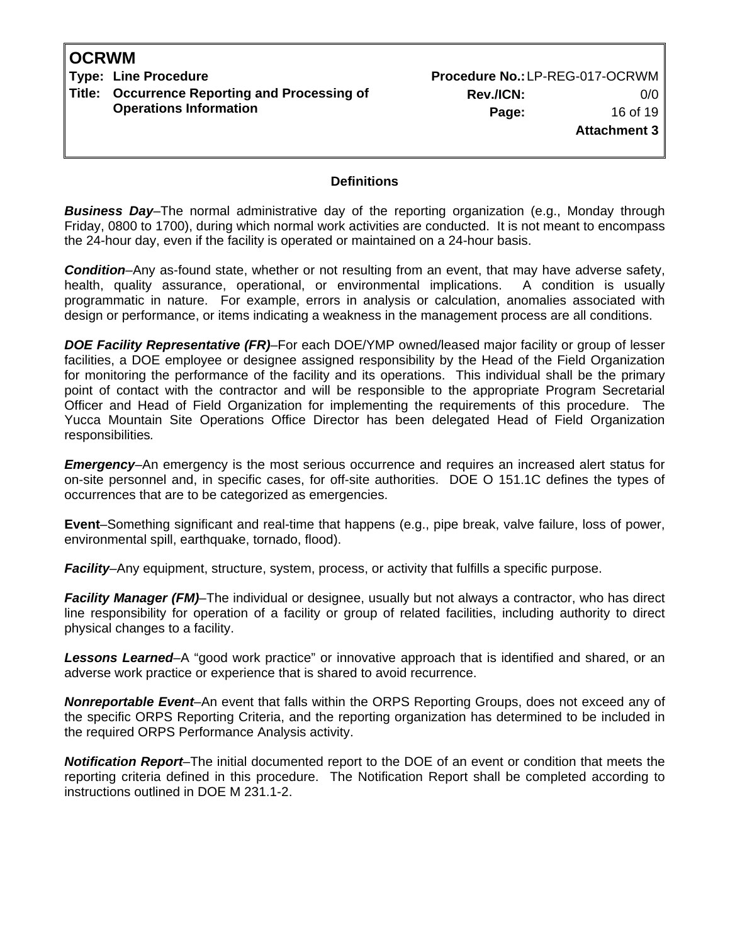**Type: Line Procedure No.: LP-REG-017-OCRWM Title: Occurrence Reporting and Processing of Operations Information**

**Rev./ICN:** 0/0 **Page:** 16 of 19 **Attachment 3**

#### **Definitions**

**Business Day–The normal administrative day of the reporting organization (e.g., Monday through** Friday, 0800 to 1700), during which normal work activities are conducted. It is not meant to encompass the 24-hour day, even if the facility is operated or maintained on a 24-hour basis.

*Condition*–Any as-found state, whether or not resulting from an event, that may have adverse safety, health, quality assurance, operational, or environmental implications. A condition is usually programmatic in nature. For example, errors in analysis or calculation, anomalies associated with design or performance, or items indicating a weakness in the management process are all conditions.

*DOE Facility Representative (FR)*–For each DOE/YMP owned/leased major facility or group of lesser facilities, a DOE employee or designee assigned responsibility by the Head of the Field Organization for monitoring the performance of the facility and its operations. This individual shall be the primary point of contact with the contractor and will be responsible to the appropriate Program Secretarial Officer and Head of Field Organization for implementing the requirements of this procedure. The Yucca Mountain Site Operations Office Director has been delegated Head of Field Organization responsibilities*.*

*Emergency***–**An emergency is the most serious occurrence and requires an increased alert status for on-site personnel and, in specific cases, for off-site authorities. DOE O 151.1C defines the types of occurrences that are to be categorized as emergencies.

**Event**–Something significant and real-time that happens (e.g., pipe break, valve failure, loss of power, environmental spill, earthquake, tornado, flood).

*Facility–Any equipment, structure, system, process, or activity that fulfills a specific purpose.* 

*Facility Manager (FM)*–The individual or designee, usually but not always a contractor, who has direct line responsibility for operation of a facility or group of related facilities, including authority to direct physical changes to a facility.

*Lessons Learned*–A "good work practice" or innovative approach that is identified and shared, or an adverse work practice or experience that is shared to avoid recurrence.

*Nonreportable Event*–An event that falls within the ORPS Reporting Groups, does not exceed any of the specific ORPS Reporting Criteria, and the reporting organization has determined to be included in the required ORPS Performance Analysis activity.

*Notification Report*–The initial documented report to the DOE of an event or condition that meets the reporting criteria defined in this procedure. The Notification Report shall be completed according to instructions outlined in DOE M 231.1-2.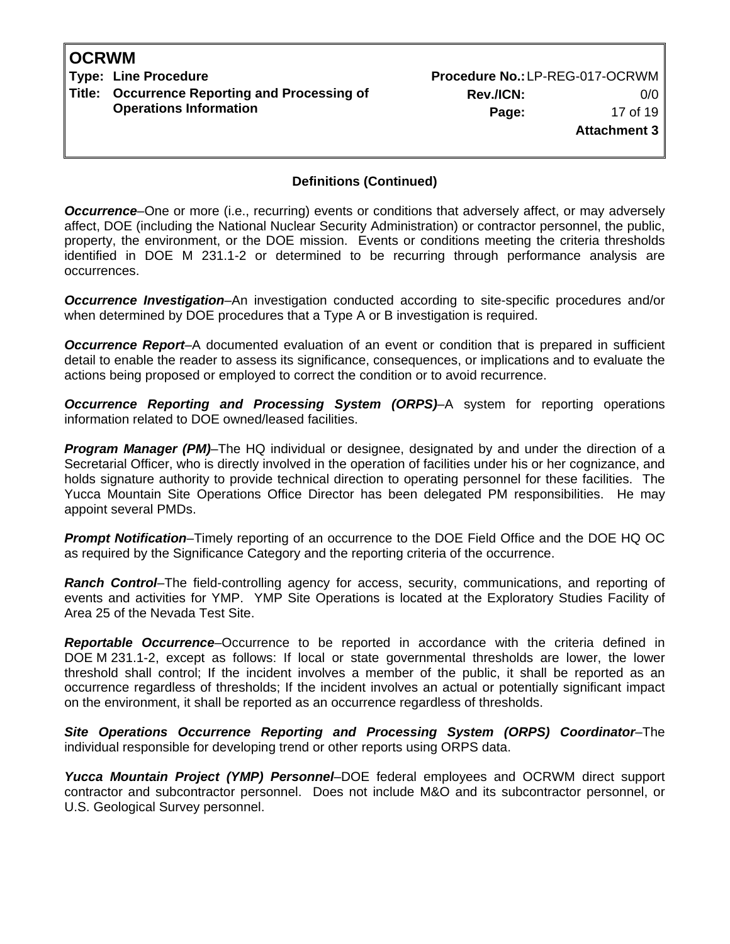**Type: Line Procedure No.: LP-REG-017-OCRWM Title: Occurrence Reporting and Processing of Operations Information**

**Rev./ICN:** 0/0 **Page:** 17 of 19 **Attachment 3**

#### **Definitions (Continued)**

*Occurrence*–One or more (i.e., recurring) events or conditions that adversely affect, or may adversely affect, DOE (including the National Nuclear Security Administration) or contractor personnel, the public, property, the environment, or the DOE mission. Events or conditions meeting the criteria thresholds identified in DOE M 231.1-2 or determined to be recurring through performance analysis are occurrences.

*Occurrence Investigation*–An investigation conducted according to site-specific procedures and/or when determined by DOE procedures that a Type A or B investigation is required.

*Occurrence Report*–A documented evaluation of an event or condition that is prepared in sufficient detail to enable the reader to assess its significance, consequences, or implications and to evaluate the actions being proposed or employed to correct the condition or to avoid recurrence.

**Occurrence Reporting and Processing System (ORPS)-A** system for reporting operations information related to DOE owned/leased facilities.

*Program Manager (PM)*–The HQ individual or designee, designated by and under the direction of a Secretarial Officer, who is directly involved in the operation of facilities under his or her cognizance, and holds signature authority to provide technical direction to operating personnel for these facilities. The Yucca Mountain Site Operations Office Director has been delegated PM responsibilities. He may appoint several PMDs.

*Prompt Notification*–Timely reporting of an occurrence to the DOE Field Office and the DOE HQ OC as required by the Significance Category and the reporting criteria of the occurrence.

*Ranch Control*–The field-controlling agency for access, security, communications, and reporting of events and activities for YMP. YMP Site Operations is located at the Exploratory Studies Facility of Area 25 of the Nevada Test Site.

*Reportable Occurrence*–Occurrence to be reported in accordance with the criteria defined in DOE M 231.1-2, except as follows: If local or state governmental thresholds are lower, the lower threshold shall control; If the incident involves a member of the public, it shall be reported as an occurrence regardless of thresholds; If the incident involves an actual or potentially significant impact on the environment, it shall be reported as an occurrence regardless of thresholds.

*Site Operations Occurrence Reporting and Processing System (ORPS) Coordinator*–The individual responsible for developing trend or other reports using ORPS data.

*Yucca Mountain Project (YMP) Personnel*–DOE federal employees and OCRWM direct support contractor and subcontractor personnel. Does not include M&O and its subcontractor personnel, or U.S. Geological Survey personnel.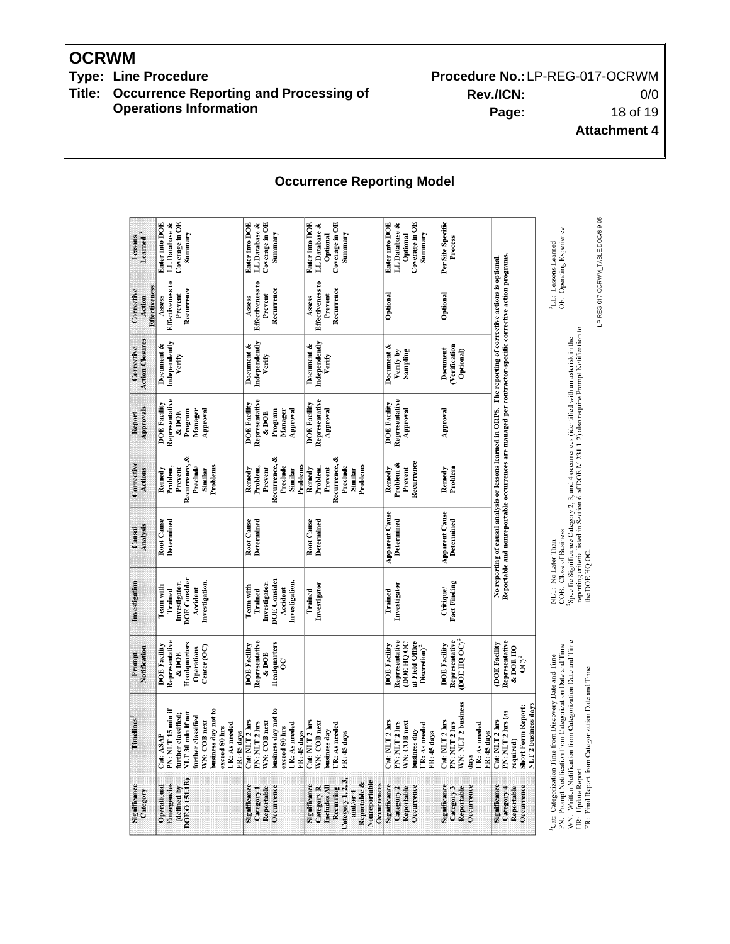**OCRWM**<br>Type: Line Procedure

**Title: Occurrence Reporting and Processing of Operations Information**

Procedure No.: LP-REG-017-OCRWM **Rev./ICN:** 0/0 **Page:** 18 of 19 **Attachment 4**

**Occurrence Reporting Model**

| Learned <sup>3</sup><br>Lessons       | Enter into DOE<br>Coverage in OE<br><b>LL</b> Database &<br>Summary                                                                                                                      | Enter into DOE<br>Coverage in OE<br>LL Database &<br>Summary                                                            | Enter into DOE<br>Coverage in OE<br>LL Database &<br>Summary<br>Optional                                                                 | <b>Enter into DOE</b><br>Coverage in OE<br>LL Database &<br>Summary<br>Optional                          | Per Site Specific<br>Process                                                                  |                                                                                                                                                                                                                          | OE: Operating Experience<br><sup>3</sup> LL: Lessons Learned                                                                                                                                                         |
|---------------------------------------|------------------------------------------------------------------------------------------------------------------------------------------------------------------------------------------|-------------------------------------------------------------------------------------------------------------------------|------------------------------------------------------------------------------------------------------------------------------------------|----------------------------------------------------------------------------------------------------------|-----------------------------------------------------------------------------------------------|--------------------------------------------------------------------------------------------------------------------------------------------------------------------------------------------------------------------------|----------------------------------------------------------------------------------------------------------------------------------------------------------------------------------------------------------------------|
| Effectiveness<br>Corrective<br>Action | Effectiveness to<br>Recurrence<br>Prevent<br>Assess                                                                                                                                      | Effectiveness to<br>Recurrence<br>Prevent<br>Assess                                                                     | Effectiveness to<br>Recurrence<br>Prevent<br>Assess                                                                                      | Optional                                                                                                 | Optional                                                                                      |                                                                                                                                                                                                                          |                                                                                                                                                                                                                      |
| <b>Action Closures</b><br>Corrective  | Independently<br>Document &<br>Verify                                                                                                                                                    | Independently<br>Document &<br>Verify                                                                                   | Independently<br>Document &<br>Verify                                                                                                    | Document &<br>Verify by<br>Sampling                                                                      | <b>Verification</b><br>Document<br>Optional)                                                  |                                                                                                                                                                                                                          |                                                                                                                                                                                                                      |
| Approvals<br>Report                   | Representative<br><b>DOE Facility</b><br>Manager<br>Program<br>Approval<br>& DOE                                                                                                         | Representative<br><b>DOE Facility</b><br>Manager<br>Approval<br>Program<br>& DOE                                        | Representative<br><b>DOE Facility</b><br>Approval                                                                                        | Representative<br><b>DOE</b> Facility<br>Approval                                                        | Approval                                                                                      |                                                                                                                                                                                                                          |                                                                                                                                                                                                                      |
| Corrective<br>Actions                 | Recurrence, &<br>Problems<br>Problem,<br>Preclude<br>Similar<br>Prevent<br>Remedy                                                                                                        | Recurrence, &<br>Problems<br>Problem,<br>Preclude<br>Remedy<br>Prevent<br>Similar                                       | Recurrence, &<br>Preclude<br>Problems<br>Remedy<br>Problem,<br>Prevent<br>Similar                                                        | Problem &<br>Recurrence<br>Remedy<br>Prevent                                                             | Remedy<br>Problem                                                                             |                                                                                                                                                                                                                          |                                                                                                                                                                                                                      |
| Analysis<br>Causal                    | Determined<br>Root Cause                                                                                                                                                                 | Root Cause<br><b>Determined</b>                                                                                         | Root Cause<br><b>Determined</b>                                                                                                          | <b>Apparent Cause</b><br>Determined                                                                      | <b>Apparent Cause</b><br>Determined                                                           | Reportable and nonreportable occurrences are managed per contractor-specific corrective action programs.<br>No reporting of causal analysis or lessons learned in ORPS. The reporting of corrective actions is optional. | reporting criteria listed in Section 6 of DOE M 231.1-2) also require Prompt Notification to<br>Specific Significance Category 2, 3, and 4 occurrences (identified with an asterisk in the<br>COB: Close of Business |
| Investigation                         | <b>DOE</b> Consider<br>Investigation.<br>Investigator.<br>Team with<br>Accident<br>Trained                                                                                               | <b>DOE</b> Consider<br>Investigation.<br>Investigator.<br><b>Team with</b><br>Accident<br>Trained                       | Investigator<br>Trained                                                                                                                  | Investigator<br>Trained                                                                                  | <b>Fact Finding</b><br><b>Critique</b>                                                        |                                                                                                                                                                                                                          | NLT: No Later Than                                                                                                                                                                                                   |
| Notification<br>Prompt                | Representative<br>Headquarters<br><b>DOE Facility</b><br>Center (OC)<br>Operations<br>& DOE                                                                                              | Representative<br>Headquarters<br><b>DOE Facility</b><br>& DOE<br>8                                                     |                                                                                                                                          | Representative<br>at Field Office<br><b>OOE HQ OC</b><br><b>DOE Facility</b><br>Discretion) <sup>2</sup> | Representative<br>$DOE$ HQ $OC$ <sup>2</sup><br><b>DOE Facility</b>                           | Representative<br>(DOE Facility<br>& DOE HQ<br>$\overline{O}^2$                                                                                                                                                          |                                                                                                                                                                                                                      |
| Timelines                             | PN: NLT 15 min if<br>business day not to<br>NLT 30 min if not<br>further classified;<br>further classified<br>WN: COB next<br>UR: As needed<br>exceed 80 hrs<br>FR: 45 days<br>Cat: ASAP | business day not to<br>Cat: NLT 2 hrs<br>WN: COB next<br>PN: NLT 2 hrs<br>UR: As needed<br>exceed 80 hrs<br>FR: 45 days | Cat: NLT 2 hrs<br>WN: COB next<br>UR: As needed<br>business day<br>FR: 45 days                                                           | Cat: NLT 2 hrs<br>WN: COB next<br>PN: NLT 2 hrs<br>UR: As needed<br>business day<br>FR: 45 days          | WN: NLT 2 business<br>Cat: NLT 2 hrs<br>PN: NLT 2 hrs<br>UR: As needed<br>FR: 45 days<br>days | <b>NLT 2 business days</b><br><b>Short Form Report:</b><br>PN: NLT 2 hrs (as<br>Cat: NLT 2 hrs<br>required)                                                                                                              | WN: Written Notification from Categorization Date and Time<br>PN: Prompt Notification from Categorization Date and Time<br>Cat: Categorization Time from Discovery Date and Time                                     |
| Significance<br>Category              | DOE 0151.1B)<br><b>Emergencies</b><br>Operational<br>(defined by                                                                                                                         | Significance<br>Эсситепсе<br>Reportable<br>Category <sub>1</sub>                                                        | Category 1, 2, 3,<br>Nonreportable<br>Reportable &<br>Occurrences<br>significance<br>Includes MI<br>Category R.<br>Recurring<br>and/or 4 | Significance<br>Category <sub>2</sub><br>Reportable<br>Occurrence                                        | significance<br>Category 3<br>Occurrence<br>Reportable                                        | significance<br>Category 4<br>Осситепсе<br>Reportable                                                                                                                                                                    | UR: Update Report                                                                                                                                                                                                    |

LP-REG-017-OCRWM\_TABLE.DOC/8-9-05